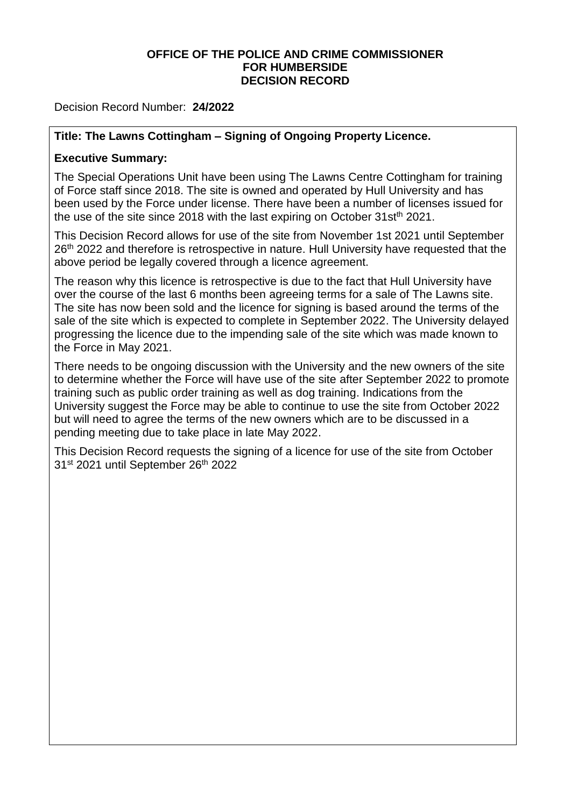### **OFFICE OF THE POLICE AND CRIME COMMISSIONER FOR HUMBERSIDE DECISION RECORD**

Decision Record Number: **24/2022**

# **Title: The Lawns Cottingham – Signing of Ongoing Property Licence.**

# **Executive Summary:**

The Special Operations Unit have been using The Lawns Centre Cottingham for training of Force staff since 2018. The site is owned and operated by Hull University and has been used by the Force under license. There have been a number of licenses issued for the use of the site since 2018 with the last expiring on October 31st<sup>th</sup> 2021.

This Decision Record allows for use of the site from November 1st 2021 until September 26<sup>th</sup> 2022 and therefore is retrospective in nature. Hull University have requested that the above period be legally covered through a licence agreement.

The reason why this licence is retrospective is due to the fact that Hull University have over the course of the last 6 months been agreeing terms for a sale of The Lawns site. The site has now been sold and the licence for signing is based around the terms of the sale of the site which is expected to complete in September 2022. The University delayed progressing the licence due to the impending sale of the site which was made known to the Force in May 2021.

There needs to be ongoing discussion with the University and the new owners of the site to determine whether the Force will have use of the site after September 2022 to promote training such as public order training as well as dog training. Indications from the University suggest the Force may be able to continue to use the site from October 2022 but will need to agree the terms of the new owners which are to be discussed in a pending meeting due to take place in late May 2022.

This Decision Record requests the signing of a licence for use of the site from October 31st 2021 until September 26th 2022